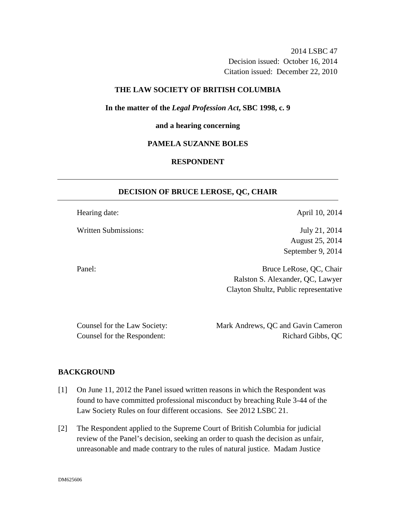2014 LSBC 47 Decision issued: October 16, 2014 Citation issued: December 22, 2010

## **THE LAW SOCIETY OF BRITISH COLUMBIA**

**In the matter of the** *Legal Profession Act***, SBC 1998, c. 9** 

#### **and a hearing concerning**

## **PAMELA SUZANNE BOLES**

# **RESPONDENT**

#### **DECISION OF BRUCE LEROSE, QC, CHAIR**

Hearing date: April 10, 2014

Written Submissions: July 21, 2014

August 25, 2014 September 9, 2014

Panel: Bruce LeRose, QC, Chair Ralston S. Alexander, QC, Lawyer Clayton Shultz, Public representative

Counsel for the Law Society: Mark Andrews, QC and Gavin Cameron Counsel for the Respondent: Richard Gibbs, QC

#### **BACKGROUND**

- [1] On June 11, 2012 the Panel issued written reasons in which the Respondent was found to have committed professional misconduct by breaching Rule 3-44 of the Law Society Rules on four different occasions. See 2012 LSBC 21.
- [2] The Respondent applied to the Supreme Court of British Columbia for judicial review of the Panel's decision, seeking an order to quash the decision as unfair, unreasonable and made contrary to the rules of natural justice. Madam Justice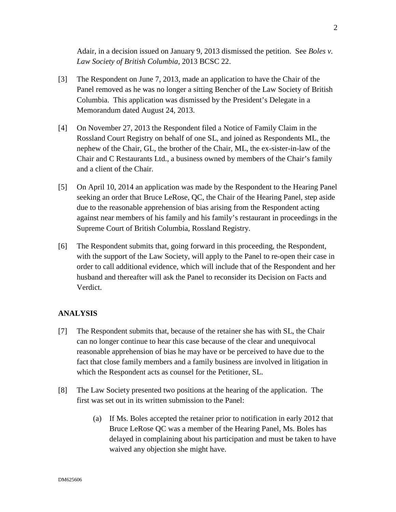Adair, in a decision issued on January 9, 2013 dismissed the petition. See *Boles v. Law Society of British Columbia*, 2013 BCSC 22.

- [3] The Respondent on June 7, 2013, made an application to have the Chair of the Panel removed as he was no longer a sitting Bencher of the Law Society of British Columbia. This application was dismissed by the President's Delegate in a Memorandum dated August 24, 2013.
- [4] On November 27, 2013 the Respondent filed a Notice of Family Claim in the Rossland Court Registry on behalf of one SL, and joined as Respondents ML, the nephew of the Chair, GL, the brother of the Chair, ML, the ex-sister-in-law of the Chair and C Restaurants Ltd., a business owned by members of the Chair's family and a client of the Chair.
- [5] On April 10, 2014 an application was made by the Respondent to the Hearing Panel seeking an order that Bruce LeRose, QC, the Chair of the Hearing Panel, step aside due to the reasonable apprehension of bias arising from the Respondent acting against near members of his family and his family's restaurant in proceedings in the Supreme Court of British Columbia, Rossland Registry.
- [6] The Respondent submits that, going forward in this proceeding, the Respondent, with the support of the Law Society, will apply to the Panel to re-open their case in order to call additional evidence, which will include that of the Respondent and her husband and thereafter will ask the Panel to reconsider its Decision on Facts and Verdict.

# **ANALYSIS**

- [7] The Respondent submits that, because of the retainer she has with SL, the Chair can no longer continue to hear this case because of the clear and unequivocal reasonable apprehension of bias he may have or be perceived to have due to the fact that close family members and a family business are involved in litigation in which the Respondent acts as counsel for the Petitioner, SL.
- [8] The Law Society presented two positions at the hearing of the application. The first was set out in its written submission to the Panel:
	- (a) If Ms. Boles accepted the retainer prior to notification in early 2012 that Bruce LeRose QC was a member of the Hearing Panel, Ms. Boles has delayed in complaining about his participation and must be taken to have waived any objection she might have.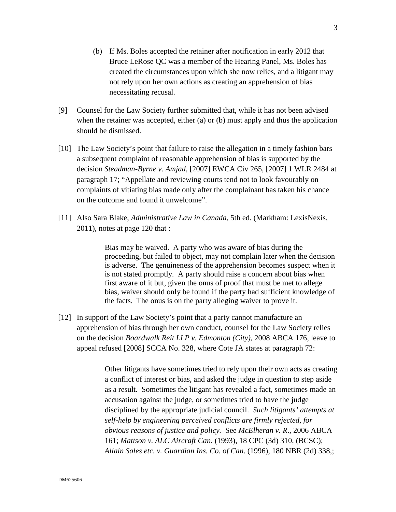- (b) If Ms. Boles accepted the retainer after notification in early 2012 that Bruce LeRose QC was a member of the Hearing Panel, Ms. Boles has created the circumstances upon which she now relies, and a litigant may not rely upon her own actions as creating an apprehension of bias necessitating recusal.
- [9] Counsel for the Law Society further submitted that, while it has not been advised when the retainer was accepted, either (a) or (b) must apply and thus the application should be dismissed.
- [10] The Law Society's point that failure to raise the allegation in a timely fashion bars a subsequent complaint of reasonable apprehension of bias is supported by the decision *Steadman-Byrne v. Amjad*, [2007] EWCA Civ 265, [2007] 1 WLR 2484 at paragraph 17; "Appellate and reviewing courts tend not to look favourably on complaints of vitiating bias made only after the complainant has taken his chance on the outcome and found it unwelcome".
- [11] Also Sara Blake, *Administrative Law in Canada*, 5th ed. (Markham: LexisNexis, 2011), notes at page 120 that :

Bias may be waived. A party who was aware of bias during the proceeding, but failed to object, may not complain later when the decision is adverse. The genuineness of the apprehension becomes suspect when it is not stated promptly. A party should raise a concern about bias when first aware of it but, given the onus of proof that must be met to allege bias, waiver should only be found if the party had sufficient knowledge of the facts. The onus is on the party alleging waiver to prove it.

[12] In support of the Law Society's point that a party cannot manufacture an apprehension of bias through her own conduct, counsel for the Law Society relies on the decision *Boardwalk Reit LLP v. Edmonton (City)*, 2008 ABCA 176, leave to appeal refused [2008] SCCA No. 328, where Cote JA states at paragraph 72:

> Other litigants have sometimes tried to rely upon their own acts as creating a conflict of interest or bias, and asked the judge in question to step aside as a result. Sometimes the litigant has revealed a fact, sometimes made an accusation against the judge, or sometimes tried to have the judge disciplined by the appropriate judicial council. *Such litigants' attempts at self-help by engineering perceived conflicts are firmly rejected, for obvious reasons of justice and policy.* See *McElheran v. R*., 2006 ABCA 161; *Mattson v. ALC Aircraft Can*. (1993), 18 CPC (3d) 310, (BCSC); *Allain Sales etc. v. Guardian Ins. Co. of Can*. (1996), 180 NBR (2d) 338,;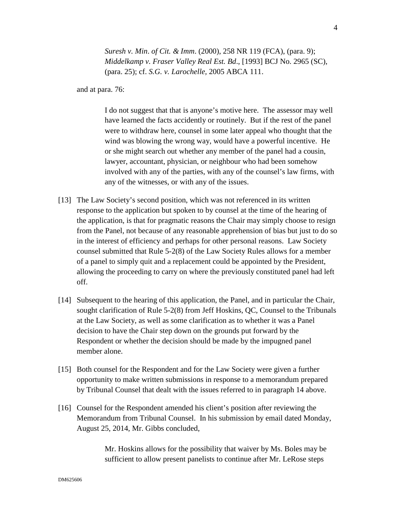*Suresh v. Min*. *of Cit. & Imm*. (2000), 258 NR 119 (FCA), (para. 9); *Middelkamp v. Fraser Valley Real Est. Bd*., [1993] BCJ No. 2965 (SC), (para. 25); cf. *S.G. v. Larochelle,* 2005 ABCA 111.

and at para. 76:

I do not suggest that that is anyone's motive here. The assessor may well have learned the facts accidently or routinely. But if the rest of the panel were to withdraw here, counsel in some later appeal who thought that the wind was blowing the wrong way, would have a powerful incentive. He or she might search out whether any member of the panel had a cousin, lawyer, accountant, physician, or neighbour who had been somehow involved with any of the parties, with any of the counsel's law firms, with any of the witnesses, or with any of the issues.

- [13] The Law Society's second position, which was not referenced in its written response to the application but spoken to by counsel at the time of the hearing of the application, is that for pragmatic reasons the Chair may simply choose to resign from the Panel, not because of any reasonable apprehension of bias but just to do so in the interest of efficiency and perhaps for other personal reasons. Law Society counsel submitted that Rule 5-2(8) of the Law Society Rules allows for a member of a panel to simply quit and a replacement could be appointed by the President, allowing the proceeding to carry on where the previously constituted panel had left off.
- [14] Subsequent to the hearing of this application, the Panel, and in particular the Chair, sought clarification of Rule 5-2(8) from Jeff Hoskins, QC, Counsel to the Tribunals at the Law Society, as well as some clarification as to whether it was a Panel decision to have the Chair step down on the grounds put forward by the Respondent or whether the decision should be made by the impugned panel member alone.
- [15] Both counsel for the Respondent and for the Law Society were given a further opportunity to make written submissions in response to a memorandum prepared by Tribunal Counsel that dealt with the issues referred to in paragraph 14 above.
- [16] Counsel for the Respondent amended his client's position after reviewing the Memorandum from Tribunal Counsel. In his submission by email dated Monday, August 25, 2014, Mr. Gibbs concluded,

Mr. Hoskins allows for the possibility that waiver by Ms. Boles may be sufficient to allow present panelists to continue after Mr. LeRose steps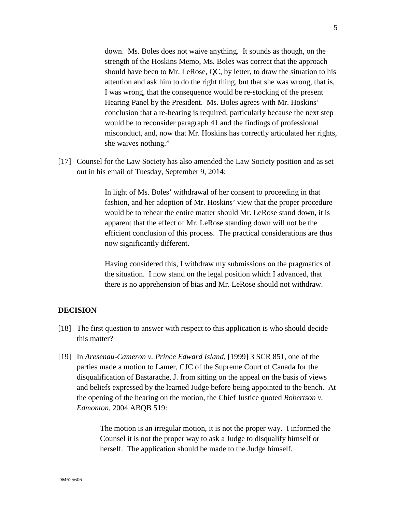down. Ms. Boles does not waive anything. It sounds as though, on the strength of the Hoskins Memo, Ms. Boles was correct that the approach should have been to Mr. LeRose, QC, by letter, to draw the situation to his attention and ask him to do the right thing, but that she was wrong, that is, I was wrong, that the consequence would be re-stocking of the present Hearing Panel by the President. Ms. Boles agrees with Mr. Hoskins' conclusion that a re-hearing is required, particularly because the next step would be to reconsider paragraph 41 and the findings of professional misconduct, and, now that Mr. Hoskins has correctly articulated her rights, she waives nothing."

[17] Counsel for the Law Society has also amended the Law Society position and as set out in his email of Tuesday, September 9, 2014:

> In light of Ms. Boles' withdrawal of her consent to proceeding in that fashion, and her adoption of Mr. Hoskins' view that the proper procedure would be to rehear the entire matter should Mr. LeRose stand down, it is apparent that the effect of Mr. LeRose standing down will not be the efficient conclusion of this process. The practical considerations are thus now significantly different.

> Having considered this, I withdraw my submissions on the pragmatics of the situation. I now stand on the legal position which I advanced, that there is no apprehension of bias and Mr. LeRose should not withdraw.

### **DECISION**

- [18] The first question to answer with respect to this application is who should decide this matter?
- [19] In *Aresenau-Cameron v. Prince Edward Island*, [1999] 3 SCR 851, one of the parties made a motion to Lamer, CJC of the Supreme Court of Canada for the disqualification of Bastarache, J. from sitting on the appeal on the basis of views and beliefs expressed by the learned Judge before being appointed to the bench. At the opening of the hearing on the motion, the Chief Justice quoted *Robertson v. Edmonton,* 2004 ABQB 519:

The motion is an irregular motion, it is not the proper way. I informed the Counsel it is not the proper way to ask a Judge to disqualify himself or herself. The application should be made to the Judge himself.